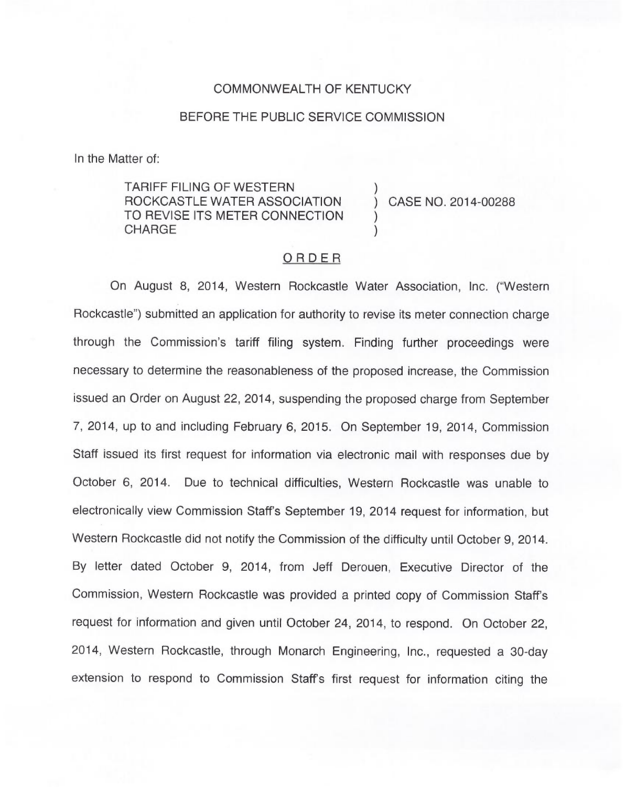### COMMONWEALTH OF KENTUCKY

#### BEFORE THE PUBLIC SERVICE COMMISSION

In the Matter of:

TARIFF FILING OF WESTERN ) ROCKCASTLE WATER ASSOCIATION ) CASE NO. 2014-00288 TO REVISE ITS METER CONNECTION **CHARGE** 

## ORDER

On August 8, 2014, Western Rockcastle Water Association, Inc. ("Western Rockcastle") submitted an application for authority to revise its meter connection charge through the Commission's tariff filing system. Finding further proceedings were necessary to determine the reasonableness of the proposed increase, the Commission issued an Order on August 22, 2014, suspending the proposed charge from September 7, 2014, up to and including February 6, 2015. On September 19, 2014, Commission Staff issued its first request for information via electronic mail with responses due by October 6, 2014. Due to technical difficulties, Western Rockcastle was unable to electronically view Commission Staff's September 19, 2014 request for information, but Western Rockcastle did not notify the Commission of the difficulty until October 9, 2014. By letter dated October 9, 2014, from Jeff Derouen, Executive Director of the Commission, Western Rockcastle was provided a printed copy of Commission Staff's request for information and given until October 24, 2014, to respond. On October 22, 2014, Western Rockcastle, through Monarch Engineering, Inc., requested a 30-day extension to respond to Commission Staff's first request for information citing the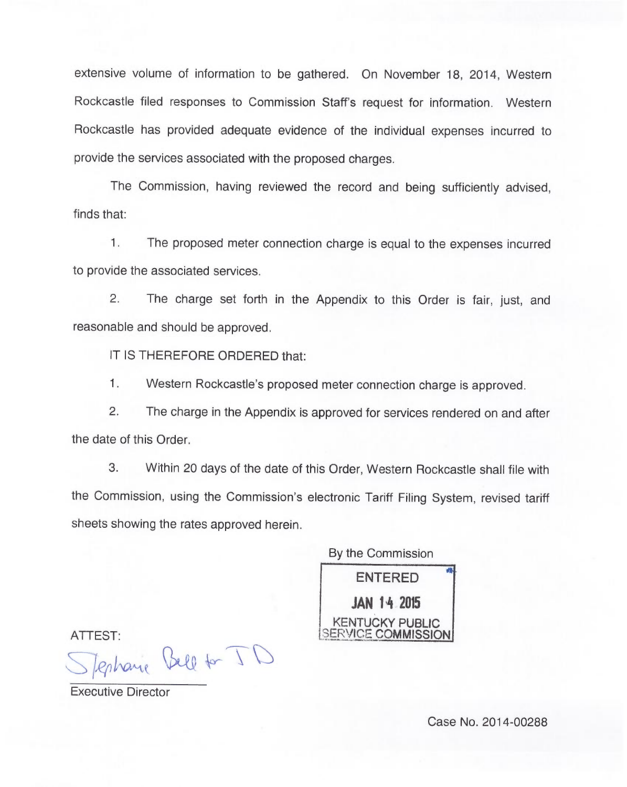extensive volume of information to be gathered. On November 18, 2014, Western Rockcastle filed responses to Commission Staff's request for information. Western Rockcastle has provided adequate evidence of the individual expenses incurred to provide the services associated with the proposed charges.

The Commission, having reviewed the record and being sufficiently advised, finds that:

 $1.$ The proposed meter connection charge is equal to the expenses incurred to provide the associated services.

2. The charge set forth in the Appendix to this Order is fair, just, and reasonable and should be approved.

IT IS THEREFORE ORDERED that:

 $1.$ Western Rockcastle's proposed meter connection charge is approved.

2. The charge in the Appendix is approved for services rendered on and after the date of this Order.

3. Within 20 days of the date of this Order, Western Rockcastle shall file with the Commission, using the Commission's electronic Tariff Filing System, revised tariff sheets showing the rates approved herein.

By the Commission ENTERED JAN 14.2015 KENTUCKY PUBLlC ERVICE **COMMISSION** 

ATTEST:<br>Sperhanne Bell for ID

Executive Director

Case No. 2014-00288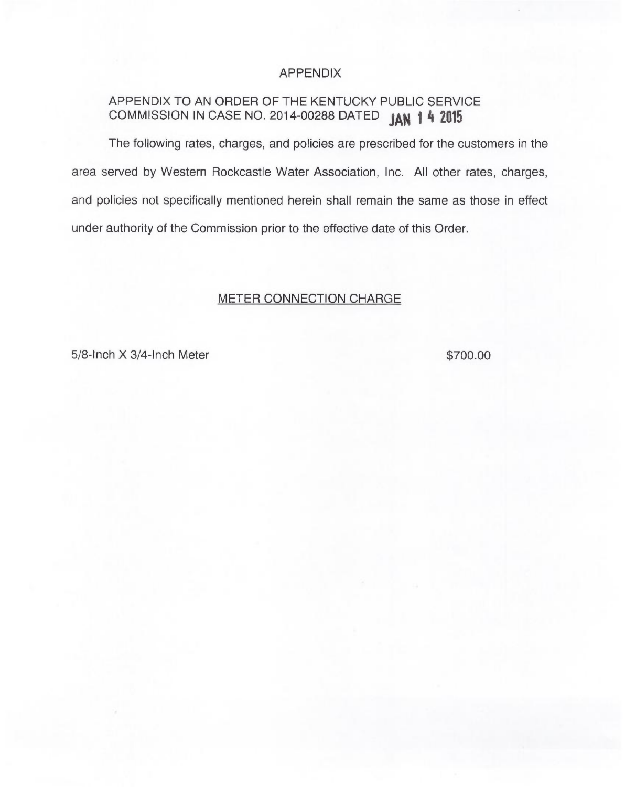### APPENDIX

# APPENDIX TO AN ORDER OF THE KENTUCKY PUBLIC SERVICE COMMISSION IN CASE NO. 2014-00288 DATED **JAN 1 4 2019**

The following rates, charges, and policies are prescribed for the customers in the area served by Western Rockcastle Water Association, Inc. All other rates, charges, and policies not specifically mentioned herein shall remain the same as those in effect under authority of the Commission prior to the effective date of this Order.

## METER CONNECTION CHARGE

5/8-Inch X 3/4-Inch Meter \$700.00